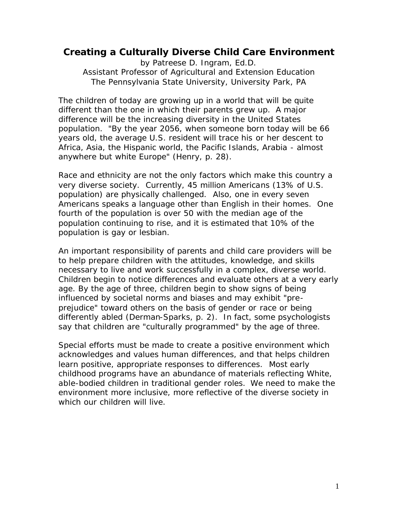## **Creating a Culturally Diverse Child Care Environment**

by Patreese D. Ingram, Ed.D. Assistant Professor of Agricultural and Extension Education The Pennsylvania State University, University Park, PA

The children of today are growing up in a world that will be quite different than the one in which their parents grew up. A major difference will be the increasing diversity in the United States population. "By the year 2056, when someone born today will be 66 years old, the average U.S. resident will trace his or her descent to Africa, Asia, the Hispanic world, the Pacific Islands, Arabia - almost anywhere but white Europe" (Henry, p. 28).

Race and ethnicity are not the only factors which make this country a very diverse society. Currently, 45 million Americans (13% of U.S. population) are physically challenged. Also, one in every seven Americans speaks a language other than English in their homes. One fourth of the population is over 50 with the median age of the population continuing to rise, and it is estimated that 10% of the population is gay or lesbian.

An important responsibility of parents and child care providers will be to help prepare children with the attitudes, knowledge, and skills necessary to live and work successfully in a complex, diverse world. *Children begin to notice differences and evaluate others at a very early*  age. By the age of three, children begin to show signs of being *influenced by societal norms and biases and may exhibit "preprejudice" toward others on the basis of gender or race or being differently abled* (Derman-Sparks, p. 2). In fact, some psychologists say that children are "culturally programmed" by the age of three.

Special efforts must be made to create a positive environment which acknowledges and values human differences, and that helps children learn positive, appropriate responses to differences. Most early childhood programs have an abundance of materials reflecting White, able-bodied children in traditional gender roles. We need to make the environment more inclusive, more reflective of the diverse society in which our children will live.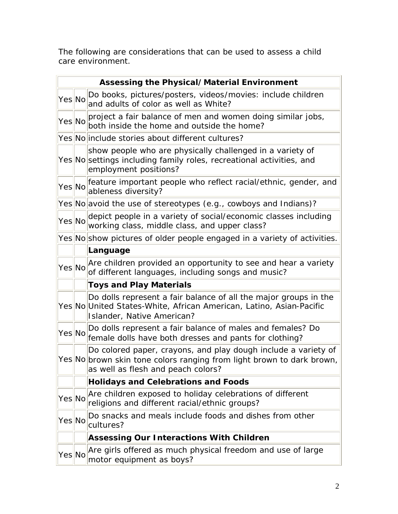The following are considerations that can be used to assess a child care environment.

| <b>Assessing the Physical/Material Environment</b> |  |                                                                                                                                                                               |  |
|----------------------------------------------------|--|-------------------------------------------------------------------------------------------------------------------------------------------------------------------------------|--|
| Yes No                                             |  | Do books, pictures/posters, videos/movies: include children<br>and adults of color as well as White?                                                                          |  |
|                                                    |  | Yes No project a fair balance of men and women doing similar jobs,<br>both inside the home and outside the home?                                                              |  |
|                                                    |  | Yes No include stories about different cultures?                                                                                                                              |  |
|                                                    |  | show people who are physically challenged in a variety of<br>Yes No settings including family roles, recreational activities, and<br>employment positions?                    |  |
| Yes No                                             |  | feature important people who reflect racial/ethnic, gender, and<br>ableness diversity?                                                                                        |  |
|                                                    |  | Yes No avoid the use of stereotypes (e.g., cowboys and Indians)?                                                                                                              |  |
| Yes No                                             |  | depict people in a variety of social/economic classes including<br>working class, middle class, and upper class?                                                              |  |
|                                                    |  | Yes No show pictures of older people engaged in a variety of activities.                                                                                                      |  |
|                                                    |  | Language                                                                                                                                                                      |  |
| Yes No                                             |  | Are children provided an opportunity to see and hear a variety<br>of different languages, including songs and music?                                                          |  |
|                                                    |  | <b>Toys and Play Materials</b>                                                                                                                                                |  |
|                                                    |  | Do dolls represent a fair balance of all the major groups in the<br>Yes No United States-White, African American, Latino, Asian-Pacific<br>Islander, Native American?         |  |
| YesNo                                              |  | Do dolls represent a fair balance of males and females? Do<br>female dolls have both dresses and pants for clothing?                                                          |  |
|                                                    |  | Do colored paper, crayons, and play dough include a variety of<br>Yes No brown skin tone colors ranging from light brown to dark brown,<br>as well as flesh and peach colors? |  |
|                                                    |  | <b>Holidays and Celebrations and Foods</b>                                                                                                                                    |  |
| Yes No                                             |  | Are children exposed to holiday celebrations of different<br>religions and different racial/ethnic groups?                                                                    |  |
| Yes No                                             |  | Do snacks and meals include foods and dishes from other<br>cultures?                                                                                                          |  |
|                                                    |  | <b>Assessing Our Interactions With Children</b>                                                                                                                               |  |
| Yes No                                             |  | Are girls offered as much physical freedom and use of large<br>motor equipment as boys?                                                                                       |  |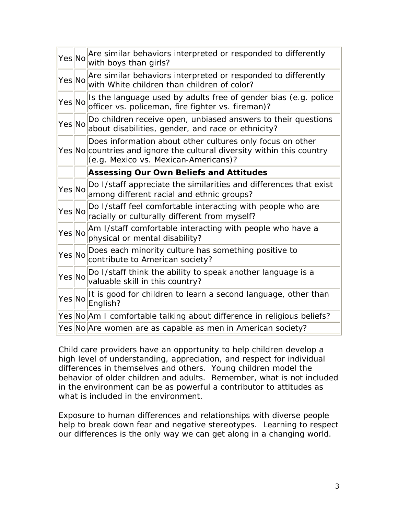| Yes No | Are similar behaviors interpreted or responded to differently<br>with boys than girls?                                                                                      |
|--------|-----------------------------------------------------------------------------------------------------------------------------------------------------------------------------|
| Yes No | Are similar behaviors interpreted or responded to differently<br>with White children than children of color?                                                                |
| Yes No | Is the language used by adults free of gender bias (e.g. police<br>officer vs. policeman, fire fighter vs. fireman)?                                                        |
| Yes No | Do children receive open, unbiased answers to their questions<br>about disabilities, gender, and race or ethnicity?                                                         |
|        | Does information about other cultures only focus on other<br>Yes No countries and ignore the cultural diversity within this country<br>(e.g. Mexico vs. Mexican-Americans)? |
|        | <b>Assessing Our Own Beliefs and Attitudes</b>                                                                                                                              |
| YesNo  | Do I/staff appreciate the similarities and differences that exist<br>among different racial and ethnic groups?                                                              |
| Yes No | Do I/staff feel comfortable interacting with people who are<br>racially or culturally different from myself?                                                                |
| YesNo  | Am I/staff comfortable interacting with people who have a<br>physical or mental disability?                                                                                 |
| YesNo  | Does each minority culture has something positive to<br>contribute to American society?                                                                                     |
| Yes No | Do I/staff think the ability to speak another language is a<br>valuable skill in this country?                                                                              |
| Yes No | It is good for children to learn a second language, other than<br>English?                                                                                                  |
|        | Yes No Am I comfortable talking about difference in religious beliefs?                                                                                                      |
|        | Yes No Are women are as capable as men in American society?                                                                                                                 |

Child care providers have an opportunity to help children develop a high level of understanding, appreciation, and respect for individual differences in themselves and others. Young children model the behavior of older children and adults. Remember, what is *not* included in the environment can be as powerful a contributor to attitudes as what *is* included in the environment.

Exposure to human differences and relationships with diverse people help to break down fear and negative stereotypes. Learning to respect our differences is the only way we can get along in a changing world.